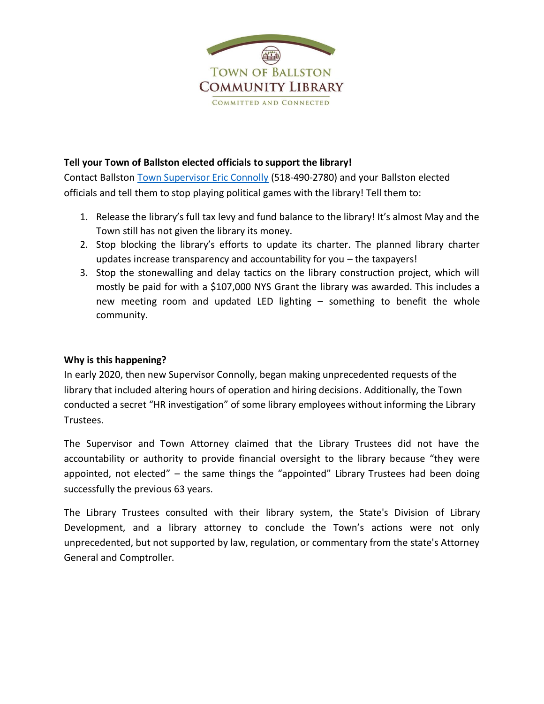

### **Tell your Town of Ballston elected officials to support the library!**

Contact Ballston [Town Supervisor Eric Connolly](mailto:econnolly@townofballstonny.org?subject=Stop%20playing%20political%20games%20with%20the%20library!) (518-490-2780) and your Ballston elected officials and tell them to stop playing political games with the library! Tell them to:

- 1. Release the library's full tax levy and fund balance to the library! It's almost May and the Town still has not given the library its money.
- 2. Stop blocking the library's efforts to update its charter. The planned library charter updates increase transparency and accountability for you – the taxpayers!
- 3. Stop the stonewalling and delay tactics on the library construction project, which will mostly be paid for with a \$107,000 NYS Grant the library was awarded. This includes a new meeting room and updated LED lighting – something to benefit the whole community.

### **Why is this happening?**

In early 2020, then new Supervisor Connolly, began making unprecedented requests of the library that included altering hours of operation and hiring decisions. Additionally, the Town conducted a secret "HR investigation" of some library employees without informing the Library Trustees.

The Supervisor and Town Attorney claimed that the Library Trustees did not have the accountability or authority to provide financial oversight to the library because "they were appointed, not elected" – the same things the "appointed" Library Trustees had been doing successfully the previous 63 years.

The Library Trustees consulted with their library system, the State's Division of Library Development, and a library attorney to conclude the Town's actions were not only unprecedented, but not supported by law, regulation, or commentary from the state's Attorney General and Comptroller.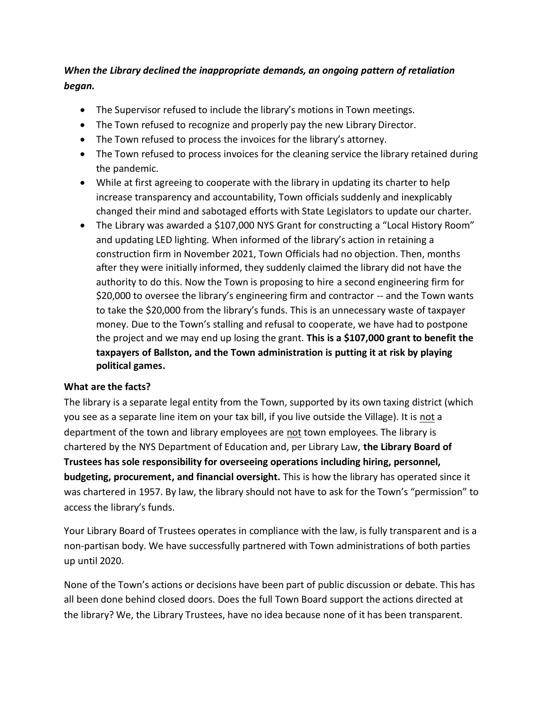# *When the Library declined the inappropriate demands, an ongoing pattern of retaliation began.*

- The Supervisor refused to include the library's motions in Town meetings.
- The Town refused to recognize and properly pay the new Library Director.
- The Town refused to process the invoices for the library's attorney.
- The Town refused to process invoices for the cleaning service the library retained during the pandemic.
- While at first agreeing to cooperate with the library in updating its charter to help increase transparency and accountability, Town officials suddenly and inexplicably changed their mind and sabotaged efforts with State Legislators to update our charter.
- The Library was awarded a \$107,000 NYS Grant for constructing a "Local History Room" and updating LED lighting. When informed of the library's action in retaining a construction firm in November 2021, Town Officials had no objection. Then, months after they were initially informed, they suddenly claimed the library did not have the authority to do this. Now the Town is proposing to hire a second engineering firm for \$20,000 to oversee the library's engineering firm and contractor -- and the Town wants to take the \$20,000 from the library's funds. This is an unnecessary waste of taxpayer money. Due to the Town's stalling and refusal to cooperate, we have had to postpone the project and we may end up losing the grant. **This is a \$107,000 grant to benefit the taxpayers of Ballston, and the Town administration is putting it at risk by playing political games.**

## **What are the facts?**

The library is a separate legal entity from the Town, supported by its own taxing district (which you see as a separate line item on your tax bill, if you live outside the Village). It is not a department of the town and library employees are not town employees. The library is chartered by the NYS Department of Education and, per Library Law, **the Library Board of Trustees has sole responsibility for overseeing operations including hiring, personnel, budgeting, procurement, and financial oversight.** This is how the library has operated since it was chartered in 1957. By law, the library should not have to ask for the Town's "permission" to access the library's funds.

Your Library Board of Trustees operates in compliance with the law, is fully transparent and is a non-partisan body. We have successfully partnered with Town administrations of both parties up until 2020.

None of the Town's actions or decisions have been part of public discussion or debate. This has all been done behind closed doors. Does the full Town Board support the actions directed at the library? We, the Library Trustees, have no idea because none of it has been transparent.